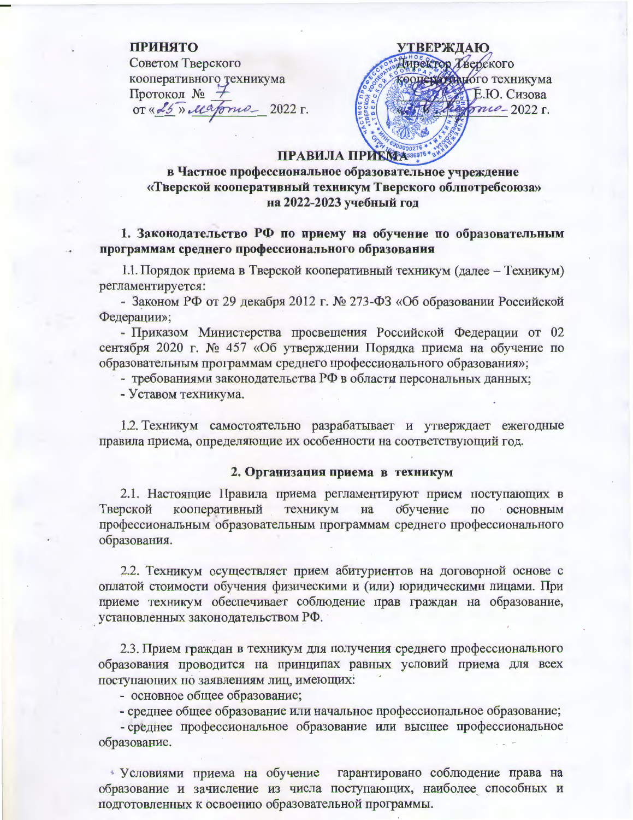### ПРИНЯТО

Советом Тверского кооперативного техникума Протокол № OT « 25» Majonia 2022 г.

**УТВЕРЖДАЮ.** Директор Тверского кооператициого техникума Е.Ю. Сизова  $6710 - 2022$  r.

## ПРАВИЛА ПРИКМАЗБЕБЭТЬ

в Частное профессиональное образовательное учреждение «Тверской кооперативный техникум Тверского облпотребсоюза» на 2022-2023 учебный год

# 1. Законодательство РФ по приему на обучение по образовательным программам среднего профессионального образования

1.1. Порядок приема в Тверской кооперативный техникум (далее – Техникум) регламентируется:

- Законом РФ от 29 декабря 2012 г. № 273-ФЗ «Об образовании Российской Федерации»;

- Приказом Министерства просвещения Российской Федерации от 02 сентября 2020 г. № 457 «Об утверждении Порядка приема на обучение по образовательным программам среднего профессионального образования»;

- требованиями законодательства РФ в области персональных данных;

- Уставом техникума.

1.2. Техникум самостоятельно разрабатывает и утверждает ежегодные правила приема, определяющие их особенности на соответствующий год.

#### 2. Организация приема в техникум

2.1. Настоящие Правила приема регламентируют прием поступающих в кооперативный техникум обучение Тверской на  $\Pi$ <sup>O</sup> **ОСНОВНЫМ** профессиональным образовательным программам среднего профессионального образования.

2.2. Техникум осуществляет прием абитуриентов на договорной основе с оплатой стоимости обучения физическими и (или) юридическими лицами. При приеме техникум обеспечивает соблюдение прав граждан на образование, установленных законодательством РФ.

2.3. Прием граждан в техникум для получения среднего профессионального образования проводится на принципах равных условий приема для всех поступающих по заявлениям лиц, имеющих:

- основное общее образование;

- среднее общее образование или начальное профессиональное образование;

- среднее профессиональное образование или высшее профессиональное образование.

\* Условиями приема на обучение гарантировано соблюдение права на образование и зачисление из числа поступающих, наиболее способных и подготовленных к освоению образовательной программы.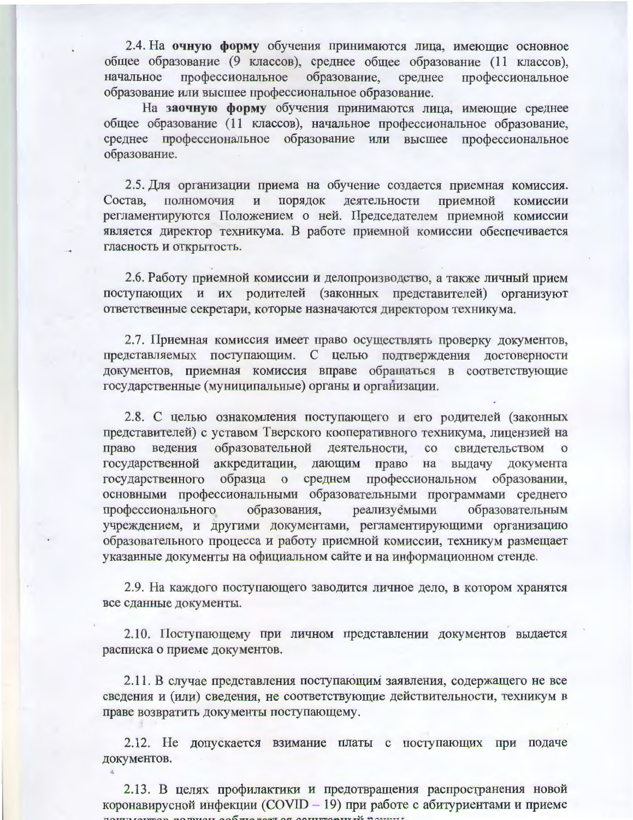2.4. На очную форму обучения принимаются лица, имеющие основное общее образование (9 классов), среднее общее образование (11 классов), профессиональное образование, среднее начальное профессиональное образование или высшее профессиональное образование.

На заочную форму обучения принимаются лица, имеющие среднее общее образование (11 классов), начальное профессиональное образование, среднее профессиональное образование или высшее профессиональное образование.

2.5. Для организации приема на обучение создается приемная комиссия. приемной Состав, полномочия  $\overline{\mathbf{M}}$ порядок деятельности комиссии регламентируются Положением о ней. Председателем приемной комиссии является директор техникума. В работе приемной комиссии обеспечивается гласность и открытость.

2.6. Работу приемной комиссии и делопроизводство, а также личный прием поступающих и их родителей (законных представителей) организуют ответственные секретари, которые назначаются директором техникума.

2.7. Приемная комиссия имеет право осуществлять проверку документов, представляемых поступающим. С целью подтверждения достоверности документов, приемная комиссия вправе обращаться в соответствующие государственные (муниципальные) органы и организации.

2.8. С целью ознакомления поступающего и его родителей (законных представителей) с уставом Тверского кооперативного техникума, лицензией на право ведения образовательной деятельности,  $\rm{co}$ свидетельством о государственной аккредитации, дающим право на выдачу документа государственного образца о среднем профессиональном образовании, основными профессиональными образовательными программами среднего образования, реализуемыми профессионального образовательным учреждением, и другими документами, регламентирующими организацию образовательного процесса и работу приемной комиссии, техникум размещает указанные документы на официальном сайте и на информационном стенде.

2.9. На каждого поступающего заводится личное дело, в котором хранятся все сданные документы.

2.10. Поступающему при личном представлении документов выдается расписка о приеме документов.

2.11. В случае представления поступающим заявления, содержащего не все сведения и (или) сведения, не соответствующие действительности, техникум в праве возвратить документы поступающему.

2.12. Не допускается взимание платы с поступающих при подаче документов.

2.13. В целях профилактики и предотвращения распространения новой коронавирусной инфекции (COVID - 19) при работе с абитуриентами и приеме DESCRIPTION TO THE TABLE AND THE TABLE OF ASSESSMENT TO MAINTER.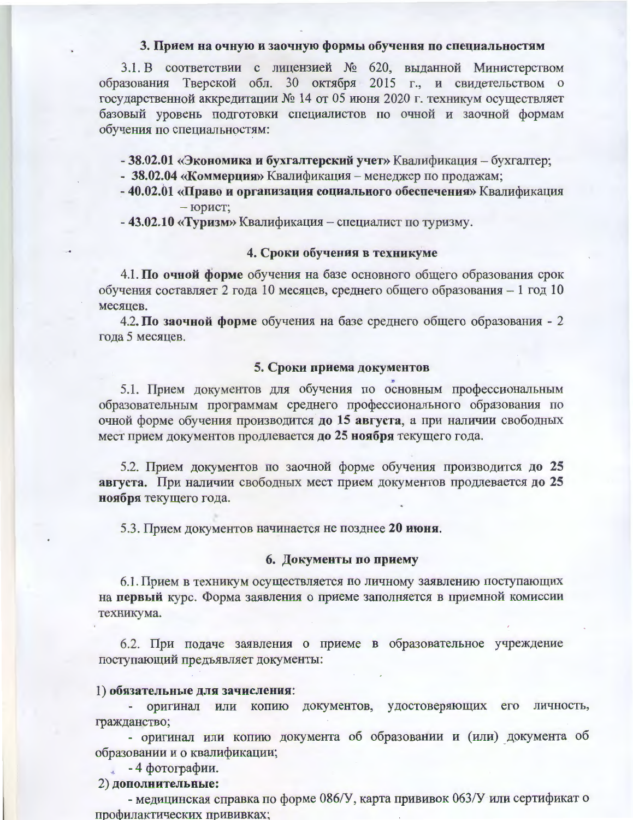#### 3. Прием на очную и заочную формы обучения по специальностям

3.1. В соответствии с лицензией № 620, выданной Министерством образования Тверской обл. 30 октября 2015 г., и свидетельством о государственной аккредитации № 14 от 05 июня 2020 г. техникум осуществляет базовый уровень подготовки специалистов по очной и заочной формам обучения по специальностям:

- 38.02.01 «Экономика и бухгалтерский учет» Квалификация - бухгалтер;

- 38.02.04 «Коммерция» Квалификация менеджер по продажам;
- 40.02.01 «Право и организация социального обеспечения» Квалификация  $-$  юрист;

- 43.02.10 «Туризм» Квалификация - специалист по туризму.

#### 4. Сроки обучения в техникуме

4.1. По очной форме обучения на базе основного общего образования срок обучения составляет 2 года 10 месяцев, среднего общего образования - 1 год 10 месяцев.

4.2. По заочной форме обучения на базе среднего общего образования - 2 года 5 месяцев.

#### 5. Сроки приема документов

5.1. Прием документов для обучения по основным профессиональным образовательным программам среднего профессионального образования по очной форме обучения производится до 15 августа, а при наличии свободных мест прием документов продлевается до 25 ноября текущего года.

5.2. Прием документов по заочной форме обучения производится до 25 августа. При наличии свободных мест прием документов продлевается до 25 ноября текущего года.

5.3. Прием документов начинается не позднее 20 июня.

### 6. Документы по приему

6.1. Прием в техникум осуществляется по личному заявлению поступающих на первый курс. Форма заявления о приеме заполняется в приемной комиссии техникума.

6.2. При подаче заявления о приеме в образовательное учреждение поступающий предъявляет документы:

#### 1) обязательные для зачисления:

- оригинал или копию документов, удостоверяющих его личность, гражданство;

- оригинал или копию документа об образовании и (или) документа об образовании и о квалификации;

 $\sim$  -4 фотографии.

### 2) дополнительные:

- медицинская справка по форме 086/У, карта прививок 063/У или сертификато профилактических прививках;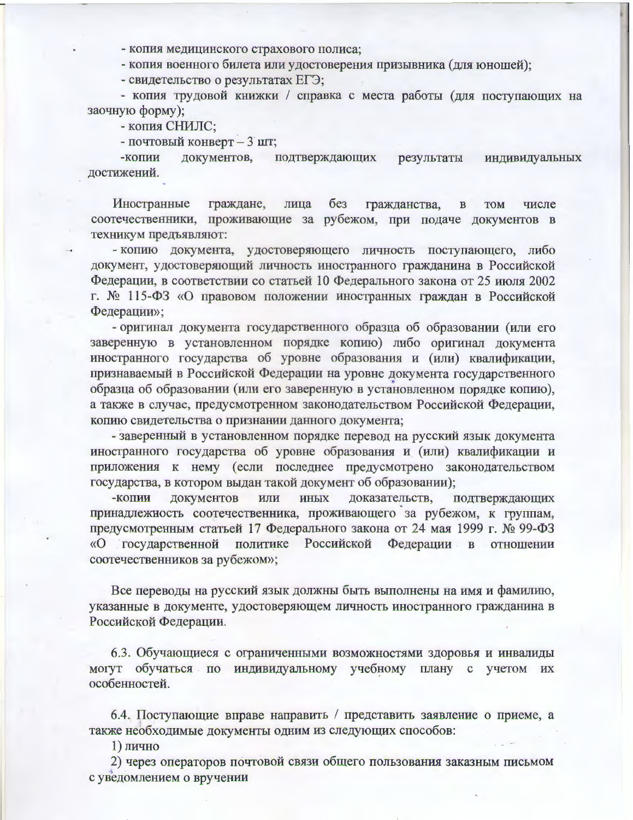- копия медицинского страхового полиса;

- копия военного билета или удостоверения призывника (для юношей);

- свидетельство о результатах ЕГЭ;

- копия трудовой книжки / справка с места работы (для поступающих на заочную форму);

- копия СНИЛС;

- почтовый конверт - 3 шт;

документов, подтверждающих результаты индивидуальных -копии лостижений.

граждане,  $6e<sub>3</sub>$ гражданства, Иностранные лица  $\mathbf{B}$ **TOM** числе соотечественники, проживающие за рубежом, при подаче документов в техникум предъявляют:

- копию документа, удостоверяющего личность поступающего, либо документ, удостоверяющий личность иностранного гражданина в Российской Федерации, в соответствии со статьей 10 Федерального закона от 25 июля 2002 г. № 115-ФЗ «О правовом положении иностранных граждан в Российской Федерации»;

- оригинал документа государственного образца об образовании (или его заверенную в установленном порядке копию) либо оригинал документа иностранного государства об уровне образования и (или) квалификации, признаваемый в Российской Федерации на уровне документа государственного образца об образовании (или его заверенную в установленном порядке копию), а также в случае, предусмотренном законодательством Российской Федерации, копию свидетельства о признании данного документа;

- заверенный в установленном порядке перевод на русский язык документа иностранного государства об уровне образования и (или) квалификации и приложения к нему (если последнее предусмотрено законодательством государства, в котором выдан такой документ об образовании);

ИЛИ **ИНЫХ** доказательств. подтверждающих -копии документов принадлежность соотечественника, проживающего за рубежом, к группам, предусмотренным статьей 17 Федерального закона от 24 мая 1999 г. № 99-ФЗ «О государственной политике Российской Федерации в отношении соотечественников за рубежом»;

Все переводы на русский язык должны быть выполнены на имя и фамилию, указанные в документе, удостоверяющем личность иностранного гражданина в Российской Федерации.

6.3. Обучающиеся с ограниченными возможностями здоровья и инвалиды могут обучаться по индивидуальному учебному плану с учетом их особенностей.

6.4. Поступающие вправе направить / представить заявление о приеме, а также необходимые документы одним из следующих способов:

1) лично

2) через операторов почтовой связи общего пользования заказным письмом с уведомлением о вручении